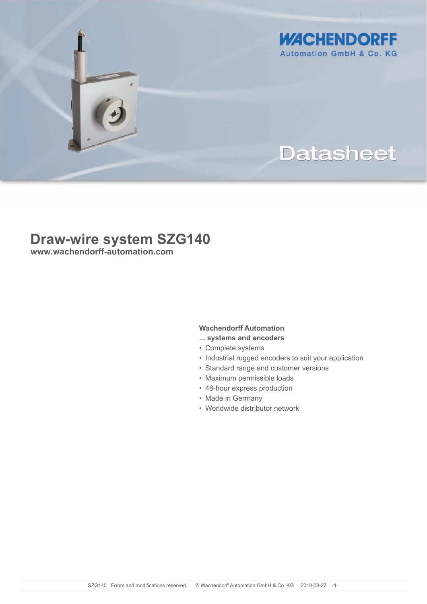

**WACHENDORFF Automation GmbH & Co. KG** 

# **Datasheet**

## **Draw-wire system SZG140**

**www.wachendorff-automation.com**

### **Wachendorff Automation**

- **... systems and encoders**
- Complete systems
- Industrial rugged encoders to suit your application
- Standard range and customer versions
- Maximum permissible loads
- 48-hour express production
- Made in Germany
- Worldwide distributor network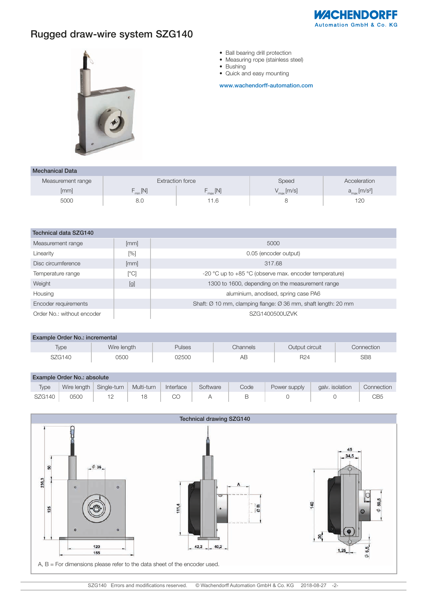

## Rugged draw-wire system SZG140



- Ball bearing drill protection
- Measuring rope (stainless steel)
- Bushing
- Quick and easy mounting

www.wachendorff-automation.com

| <b>Mechanical Data</b> |                   |                     |                        |                                   |  |  |  |  |
|------------------------|-------------------|---------------------|------------------------|-----------------------------------|--|--|--|--|
| Measurement range      |                   | Extraction force    | Speed                  | Acceleration                      |  |  |  |  |
| [mm]                   | $\frac{1}{2}$ [N] | $F_{\text{max}}[N]$ | $V_{\text{max}}$ [m/s] | $a_{\rm max}$ [m/s <sup>2</sup> ] |  |  |  |  |
| 5000                   | 8.C               | 1.6                 |                        | 120                               |  |  |  |  |

| Technical data SZG140      |              |                                                                            |  |  |  |
|----------------------------|--------------|----------------------------------------------------------------------------|--|--|--|
| Measurement range          | [mm]         | 5000                                                                       |  |  |  |
| Linearity                  | [%]          | 0.05 (encoder output)                                                      |  |  |  |
| Disc circumference         | [mm]         | 317.68                                                                     |  |  |  |
| Temperature range          | $\lceil$ °Cl | -20 $^{\circ}$ C up to +85 $^{\circ}$ C (observe max. encoder temperature) |  |  |  |
| Weight                     | [g]          | 1300 to 1600, depending on the measurement range                           |  |  |  |
| Housing                    |              | aluminium, anodised, spring case PA6                                       |  |  |  |
| Encoder requirements       |              | Shaft: Ø 10 mm, clamping flange: Ø 36 mm, shaft length: 20 mm              |  |  |  |
| Order No.: without encoder |              | SZG1400500UZVK                                                             |  |  |  |

| Example Order No.: incremental |             |               |          |                 |                 |  |
|--------------------------------|-------------|---------------|----------|-----------------|-----------------|--|
| Type                           | Wire length | <b>Pulses</b> | Channels | Output circuit  | Connection      |  |
| <b>SZG140</b>                  | 0500        | 02500         | AΒ       | R <sub>24</sub> | SB <sub>8</sub> |  |

| Example Order No.: absolute |      |                           |            |           |          |      |              |                 |            |
|-----------------------------|------|---------------------------|------------|-----------|----------|------|--------------|-----------------|------------|
| <b>Type</b>                 |      | Wire length   Single-turn | Multi-turn | Interface | Software | Code | Power supply | galv. isolation | Connection |
| SZG140                      | 0500 |                           | 18 —       | CO        | <b>A</b> | B    |              |                 |            |

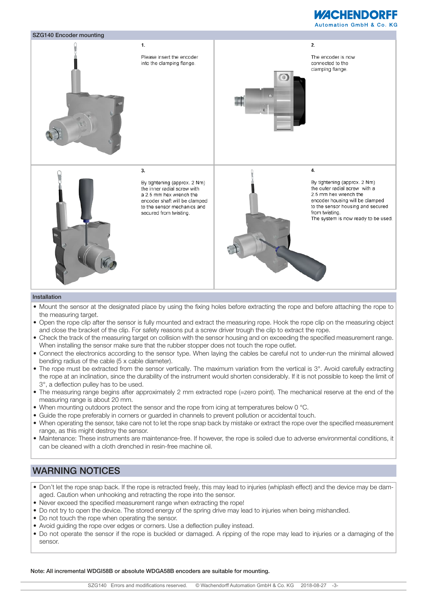## **WACHENDORFF**





#### Installation

- Mount the sensor at the designated place by using the fixing holes before extracting the rope and before attaching the rope to the measuring target.
- Open the rope clip after the sensor is fully mounted and extract the measuring rope. Hook the rope clip on the measuring object and close the bracket of the clip. For safety reasons put a screw driver trough the clip to extract the rope.
- Check the track of the measuring target on collision with the sensor housing and on exceeding the specified measurement range. When installing the sensor make sure that the rubber stopper does not touch the rope outlet.
- Connect the electronics according to the sensor type. When laying the cables be careful not to under-run the minimal allowed bending radius of the cable (5 x cable diameter).
- The rope must be extracted from the sensor vertically. The maximum variation from the vertical is 3°. Avoid carefully extracting the rope at an inclination, since the durability of the instrument would shorten considerably. If it is not possible to keep the limit of 3°, a deflection pulley has to be used.
- The measuring range begins after approximately 2 mm extracted rope (=zero point). The mechanical reserve at the end of the measuring range is about 20 mm.
- When mounting outdoors protect the sensor and the rope from icing at temperatures below 0 °C.
- Guide the rope preferably in corners or guarded in channels to prevent pollution or accidental touch.
- When operating the sensor, take care not to let the rope snap back by mistake or extract the rope over the specified measurement range, as this might destroy the sensor.
- Maintenance: These instruments are maintenance-free. If however, the rope is soiled due to adverse environmental conditions, it can be cleaned with a cloth drenched in resin-free machine oil.

### WARNING NOTICES

- Don't let the rope snap back. If the rope is retracted freely, this may lead to injuries (whiplash effect) and the device may be damaged. Caution when unhooking and retracting the rope into the sensor.
- Never exceed the specified measurement range when extracting the rope!
- Do not try to open the device. The stored energy of the spring drive may lead to injuries when being mishandled.
- Do not touch the rope when operating the sensor.
- Avoid guiding the rope over edges or corners. Use a deflection pulley instead.
- Do not operate the sensor if the rope is buckled or damaged. A ripping of the rope may lead to injuries or a damaging of the sensor.

Note: All incremental WDGI58B or absolute WDGA58B encoders are suitable for mounting.